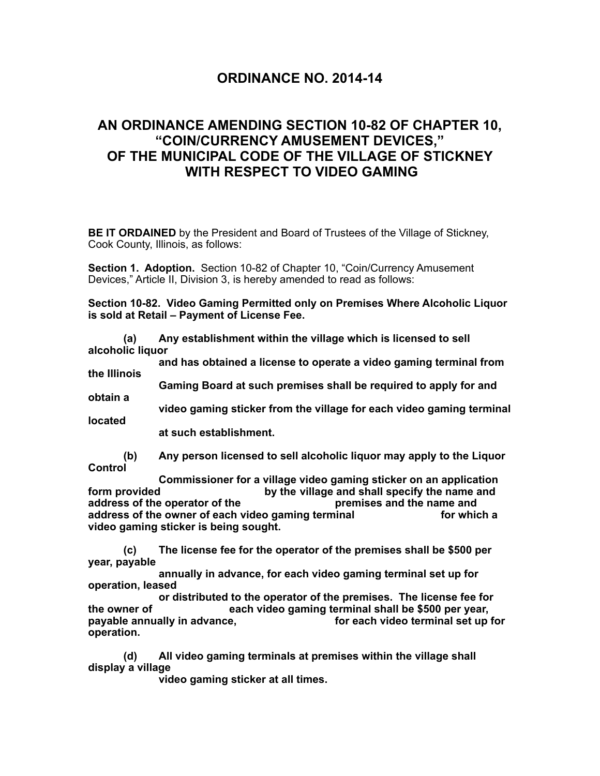## **ORDINANCE NO. 2014-14**

## **AN ORDINANCE AMENDING SECTION 10-82 OF CHAPTER 10, "COIN/CURRENCY AMUSEMENT DEVICES," OF THE MUNICIPAL CODE OF THE VILLAGE OF STICKNEY WITH RESPECT TO VIDEO GAMING**

**BE IT ORDAINED** by the President and Board of Trustees of the Village of Stickney, Cook County, Illinois, as follows:

**Section 1. Adoption.** Section 10-82 of Chapter 10, "Coin/Currency Amusement Devices," Article II, Division 3, is hereby amended to read as follows:

**Section 10-82. Video Gaming Permitted only on Premises Where Alcoholic Liquor is sold at Retail – Payment of License Fee.**

 **(a) Any establishment within the village which is licensed to sell alcoholic liquor**

 **and has obtained a license to operate a video gaming terminal from the Illinois**

 **Gaming Board at such premises shall be required to apply for and obtain a** 

 **video gaming sticker from the village for each video gaming terminal located** 

 **at such establishment.**

 **(b) Any person licensed to sell alcoholic liquor may apply to the Liquor Control**

 **Commissioner for a village video gaming sticker on an application form provided by the village and shall specify the name and address of the operator of the premises and the name and address of the owner of each video gaming terminal for which a state of the owner of each video gaming terminal video gaming sticker is being sought.**

 **(c) The license fee for the operator of the premises shall be \$500 per year, payable**

 **annually in advance, for each video gaming terminal set up for operation, leased**

 **or distributed to the operator of the premises. The license fee for the owner of each video gaming terminal shall be \$500 per year, payable annually in advance, for each video terminal set up for operation.**

 **(d) All video gaming terminals at premises within the village shall display a village**

 **video gaming sticker at all times.**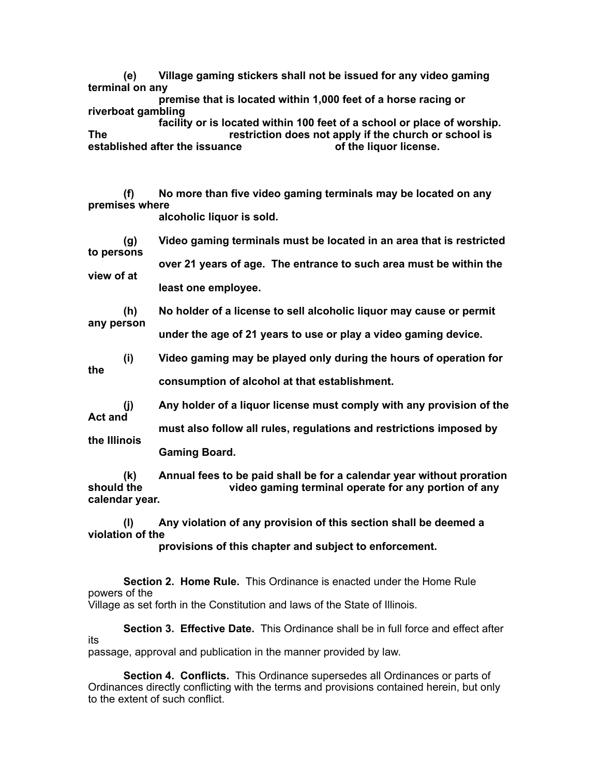**(e) Village gaming stickers shall not be issued for any video gaming terminal on any**

 **premise that is located within 1,000 feet of a horse racing or riverboat gambling**

 **facility or is located within 100 feet of a school or place of worship.**  restriction does not apply if the church or school is<br> **The liquor license**. **established after the issuance** 

**(f) No more than five video gaming terminals may be located on any premises where alcoholic liquor is sold.**

 **(g) Video gaming terminals must be located in an area that is restricted to persons over 21 years of age. The entrance to such area must be within the view of at** 

 **least one employee.**

 **(h) No holder of a license to sell alcoholic liquor may cause or permit any person under the age of 21 years to use or play a video gaming device.**

 **(i) Video gaming may be played only during the hours of operation for the consumption of alcohol at that establishment.**

 **(j) Any holder of a liquor license must comply with any provision of the Act and**

 **must also follow all rules, regulations and restrictions imposed by the Illinois**

 **Gaming Board.**

 **(k) Annual fees to be paid shall be for a calendar year without proration**  video gaming terminal operate for any portion of any **calendar year.**

 **(l) Any violation of any provision of this section shall be deemed a violation of the**

 **provisions of this chapter and subject to enforcement.**

 **Section 2. Home Rule.** This Ordinance is enacted under the Home Rule powers of the Village as set forth in the Constitution and laws of the State of Illinois.

**Section 3. Effective Date.** This Ordinance shall be in full force and effect after its

passage, approval and publication in the manner provided by law.

**Section 4. Conflicts.** This Ordinance supersedes all Ordinances or parts of Ordinances directly conflicting with the terms and provisions contained herein, but only to the extent of such conflict.